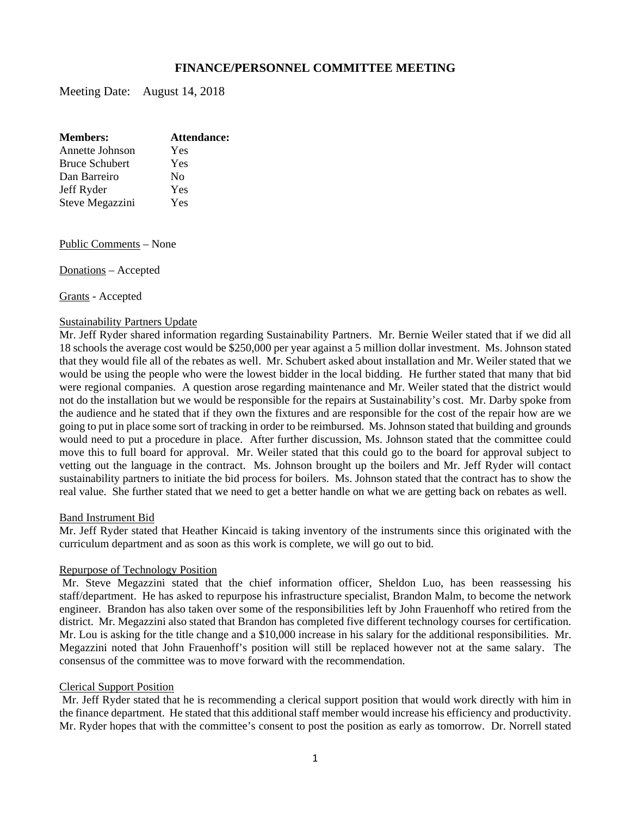# **FINANCE/PERSONNEL COMMITTEE MEETING**

Meeting Date: August 14, 2018

| <b>Members:</b>       | Attendance: |
|-----------------------|-------------|
| Annette Johnson       | Yes         |
| <b>Bruce Schubert</b> | Yes         |
| Dan Barreiro          | Nο          |
| Jeff Ryder            | Yes         |
| Steve Megazzini       | Yes         |

Public Comments – None

Donations – Accepted

Grants - Accepted

#### Sustainability Partners Update

Mr. Jeff Ryder shared information regarding Sustainability Partners. Mr. Bernie Weiler stated that if we did all 18 schools the average cost would be \$250,000 per year against a 5 million dollar investment. Ms. Johnson stated that they would file all of the rebates as well. Mr. Schubert asked about installation and Mr. Weiler stated that we would be using the people who were the lowest bidder in the local bidding. He further stated that many that bid were regional companies. A question arose regarding maintenance and Mr. Weiler stated that the district would not do the installation but we would be responsible for the repairs at Sustainability's cost. Mr. Darby spoke from the audience and he stated that if they own the fixtures and are responsible for the cost of the repair how are we going to put in place some sort of tracking in order to be reimbursed. Ms. Johnson stated that building and grounds would need to put a procedure in place. After further discussion, Ms. Johnson stated that the committee could move this to full board for approval. Mr. Weiler stated that this could go to the board for approval subject to vetting out the language in the contract. Ms. Johnson brought up the boilers and Mr. Jeff Ryder will contact sustainability partners to initiate the bid process for boilers. Ms. Johnson stated that the contract has to show the real value. She further stated that we need to get a better handle on what we are getting back on rebates as well.

#### Band Instrument Bid

Mr. Jeff Ryder stated that Heather Kincaid is taking inventory of the instruments since this originated with the curriculum department and as soon as this work is complete, we will go out to bid.

#### Repurpose of Technology Position

 Mr. Steve Megazzini stated that the chief information officer, Sheldon Luo, has been reassessing his staff/department. He has asked to repurpose his infrastructure specialist, Brandon Malm, to become the network engineer. Brandon has also taken over some of the responsibilities left by John Frauenhoff who retired from the district. Mr. Megazzini also stated that Brandon has completed five different technology courses for certification. Mr. Lou is asking for the title change and a \$10,000 increase in his salary for the additional responsibilities. Mr. Megazzini noted that John Frauenhoff's position will still be replaced however not at the same salary. The consensus of the committee was to move forward with the recommendation.

#### Clerical Support Position

 Mr. Jeff Ryder stated that he is recommending a clerical support position that would work directly with him in the finance department. He stated that this additional staff member would increase his efficiency and productivity. Mr. Ryder hopes that with the committee's consent to post the position as early as tomorrow. Dr. Norrell stated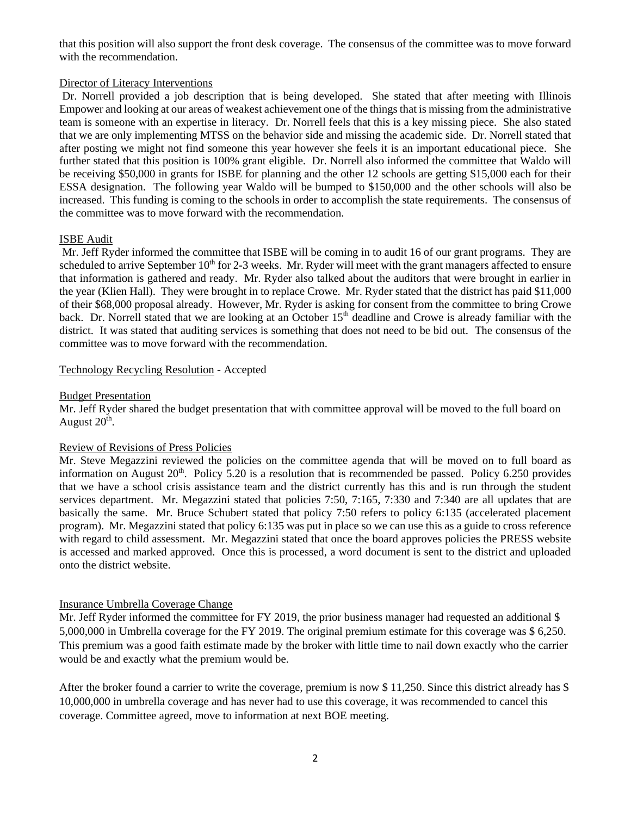that this position will also support the front desk coverage. The consensus of the committee was to move forward with the recommendation.

## Director of Literacy Interventions

 Dr. Norrell provided a job description that is being developed. She stated that after meeting with Illinois Empower and looking at our areas of weakest achievement one of the things that is missing from the administrative team is someone with an expertise in literacy. Dr. Norrell feels that this is a key missing piece. She also stated that we are only implementing MTSS on the behavior side and missing the academic side. Dr. Norrell stated that after posting we might not find someone this year however she feels it is an important educational piece. She further stated that this position is 100% grant eligible. Dr. Norrell also informed the committee that Waldo will be receiving \$50,000 in grants for ISBE for planning and the other 12 schools are getting \$15,000 each for their ESSA designation. The following year Waldo will be bumped to \$150,000 and the other schools will also be increased. This funding is coming to the schools in order to accomplish the state requirements. The consensus of the committee was to move forward with the recommendation.

# ISBE Audit

 Mr. Jeff Ryder informed the committee that ISBE will be coming in to audit 16 of our grant programs. They are scheduled to arrive September  $10<sup>th</sup>$  for 2-3 weeks. Mr. Ryder will meet with the grant managers affected to ensure that information is gathered and ready. Mr. Ryder also talked about the auditors that were brought in earlier in the year (Klien Hall). They were brought in to replace Crowe. Mr. Ryder stated that the district has paid \$11,000 of their \$68,000 proposal already. However, Mr. Ryder is asking for consent from the committee to bring Crowe back. Dr. Norrell stated that we are looking at an October 15<sup>th</sup> deadline and Crowe is already familiar with the district. It was stated that auditing services is something that does not need to be bid out. The consensus of the committee was to move forward with the recommendation.

# Technology Recycling Resolution - Accepted

### Budget Presentation

Mr. Jeff Ryder shared the budget presentation that with committee approval will be moved to the full board on August  $20<sup>th</sup>$ .

### Review of Revisions of Press Policies

Mr. Steve Megazzini reviewed the policies on the committee agenda that will be moved on to full board as information on August  $20<sup>th</sup>$ . Policy 5.20 is a resolution that is recommended be passed. Policy 6.250 provides that we have a school crisis assistance team and the district currently has this and is run through the student services department. Mr. Megazzini stated that policies 7:50, 7:165, 7:330 and 7:340 are all updates that are basically the same. Mr. Bruce Schubert stated that policy 7:50 refers to policy 6:135 (accelerated placement program). Mr. Megazzini stated that policy 6:135 was put in place so we can use this as a guide to cross reference with regard to child assessment. Mr. Megazzini stated that once the board approves policies the PRESS website is accessed and marked approved. Once this is processed, a word document is sent to the district and uploaded onto the district website.

### Insurance Umbrella Coverage Change

Mr. Jeff Ryder informed the committee for FY 2019, the prior business manager had requested an additional \$ 5,000,000 in Umbrella coverage for the FY 2019. The original premium estimate for this coverage was \$ 6,250. This premium was a good faith estimate made by the broker with little time to nail down exactly who the carrier would be and exactly what the premium would be.

After the broker found a carrier to write the coverage, premium is now \$ 11,250. Since this district already has \$ 10,000,000 in umbrella coverage and has never had to use this coverage, it was recommended to cancel this coverage. Committee agreed, move to information at next BOE meeting.